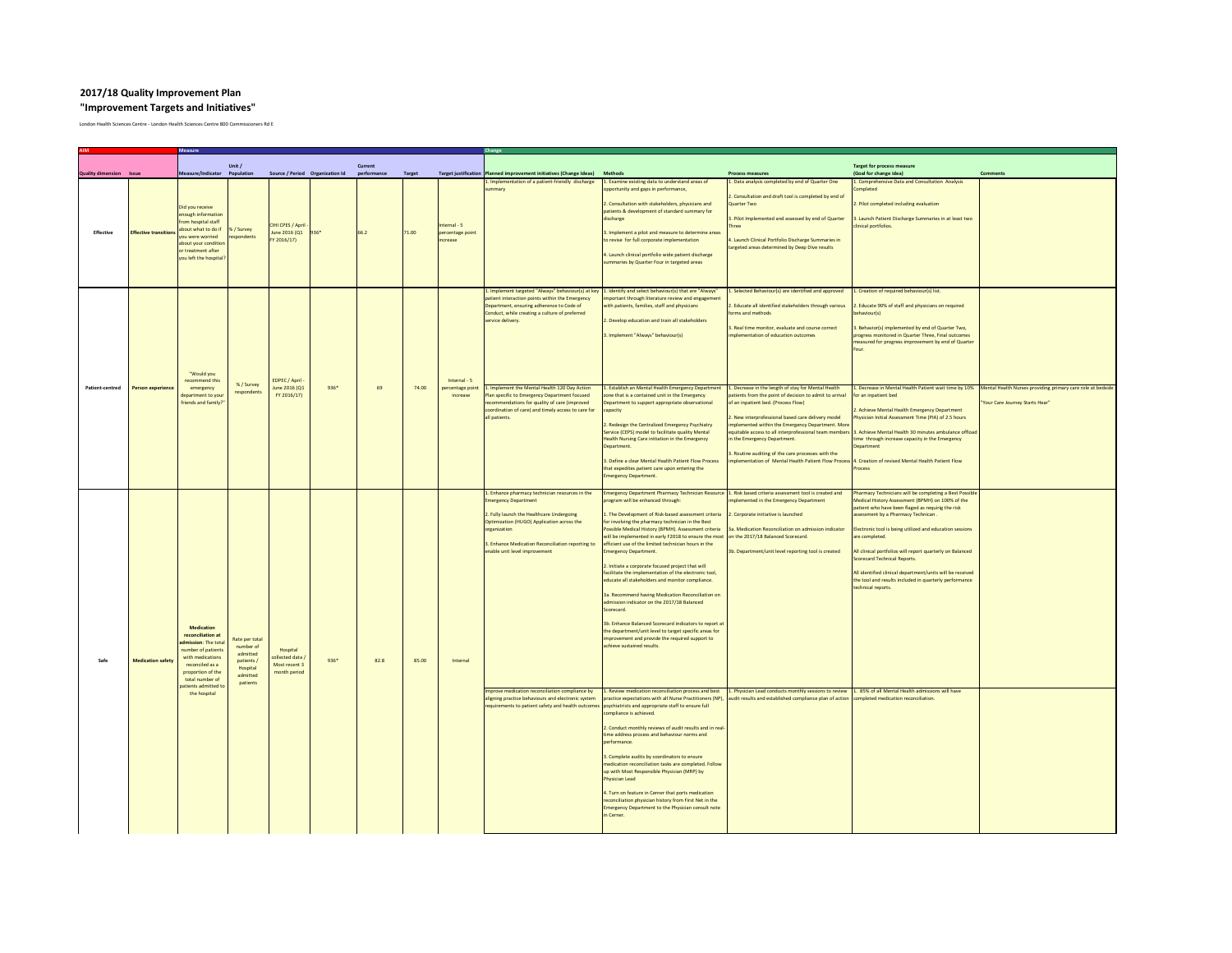## **2017/18 Quality Improvement Plan "Improvement Targets and Initiatives"**

London Health Sciences Centre - London Health Sciences Centre 800 Commissioners Rd E



| <b>AIM</b>                     |                              | <b>Measure</b>                                                                                                                                                                              |                                                                                           |                                                              |        |             |               |                                              | <b>Change</b>                                                                                                                                                                                                                                                                                                                                                                                                                                                                             |                                                                                                                                                                                                                                                                                                                                                                                                                                                                                                                                                                                                                                                                                                                                                                                                                                                                                                                                 |                                                                                                                                                                                                                                                                                                                                                                                           |                                                                                                                                                                                                                                                                                                                                                                                                                                                                      |                                                                                     |
|--------------------------------|------------------------------|---------------------------------------------------------------------------------------------------------------------------------------------------------------------------------------------|-------------------------------------------------------------------------------------------|--------------------------------------------------------------|--------|-------------|---------------|----------------------------------------------|-------------------------------------------------------------------------------------------------------------------------------------------------------------------------------------------------------------------------------------------------------------------------------------------------------------------------------------------------------------------------------------------------------------------------------------------------------------------------------------------|---------------------------------------------------------------------------------------------------------------------------------------------------------------------------------------------------------------------------------------------------------------------------------------------------------------------------------------------------------------------------------------------------------------------------------------------------------------------------------------------------------------------------------------------------------------------------------------------------------------------------------------------------------------------------------------------------------------------------------------------------------------------------------------------------------------------------------------------------------------------------------------------------------------------------------|-------------------------------------------------------------------------------------------------------------------------------------------------------------------------------------------------------------------------------------------------------------------------------------------------------------------------------------------------------------------------------------------|----------------------------------------------------------------------------------------------------------------------------------------------------------------------------------------------------------------------------------------------------------------------------------------------------------------------------------------------------------------------------------------------------------------------------------------------------------------------|-------------------------------------------------------------------------------------|
|                                |                              | Unit /<br><b>Current</b>                                                                                                                                                                    |                                                                                           |                                                              |        |             |               |                                              | <b>Target for process measure</b>                                                                                                                                                                                                                                                                                                                                                                                                                                                         |                                                                                                                                                                                                                                                                                                                                                                                                                                                                                                                                                                                                                                                                                                                                                                                                                                                                                                                                 |                                                                                                                                                                                                                                                                                                                                                                                           |                                                                                                                                                                                                                                                                                                                                                                                                                                                                      |                                                                                     |
| <b>Quality dimension</b> Issue |                              | Measure/Indicator Population                                                                                                                                                                |                                                                                           | Source / Period Organization Id                              |        | performance | <b>Target</b> |                                              | Target justification   Planned improvement initiatives (Change Ideas)                                                                                                                                                                                                                                                                                                                                                                                                                     | <b>Methods</b>                                                                                                                                                                                                                                                                                                                                                                                                                                                                                                                                                                                                                                                                                                                                                                                                                                                                                                                  | <b>Process measures</b>                                                                                                                                                                                                                                                                                                                                                                   | (Goal for change idea)                                                                                                                                                                                                                                                                                                                                                                                                                                               | <b>Comments</b>                                                                     |
| <b>Effective</b>               | <b>Effective transitions</b> | Did you receive<br>enough information<br>from hospital staff<br>about what to do if  % / Survey<br>you were worried<br>about your condition<br>or treatment after<br>you left the hospital? | respondents                                                                               | <b>CIHI CPES / April</b><br>June 2016 (Q1<br>FY 2016/17)     | 936*   | 66.2        | 71.00         | Internal - 5<br>percentage point<br>increase | 1. Implementation of a patient-friendly discharge<br>summary                                                                                                                                                                                                                                                                                                                                                                                                                              | 1. Examine existing data to understand areas of<br>opportunity and gaps in performance,<br>2. Consultation with stakeholders, physicians and<br>patients & development of standard summary for<br>discharge<br>3. Implement a pilot and measure to determine areas<br>to revise for full corporate implementation<br>4. Launch clinical portfolio wide patient discharge<br>summaries by Quarter Four in targeted areas                                                                                                                                                                                                                                                                                                                                                                                                                                                                                                         | 1. Data analysis completed by end of Quarter One<br>2. Consultation and draft tool is completed by end of<br>Quarter Two<br>3. Pilot Implemented and assessed by end of Quarter<br><b>Three</b><br>4. Launch Clinical Portfolio Discharge Summaries in<br>targeted areas determined by Deep Dive results                                                                                  | Comprehensive Data and Consultation Analysis<br>Completed<br>2. Pilot completed including evaluation<br>. Launch Patient Discharge Summaries in at least two<br>clinical portfolios.                                                                                                                                                                                                                                                                                 |                                                                                     |
| <b>Patient-centred</b>         | <b>Person experience</b>     | "Would you<br>recommend this<br>emergency<br>department to your<br>friends and family?                                                                                                      | % / Survey<br>respondents                                                                 | EDPEC / April -<br>June 2016 (Q1<br>FY 2016/17)              | $936*$ | 69          | 74.00         | Internal - 5<br>percentage point<br>increase | 1. Implement targeted "Always" behaviour(s) at key 1. Identify and select behaviour(s) that are "Always"<br>patient interaction points within the Emergency<br>Department, ensuring adherence to Code of<br>Conduct, while creating a culture of preferred<br>service delivery.<br>1. Implement the Mental Health 120 Day Action<br>Plan specific to Emergency Department focused<br>recommendations for quality of care (improved<br>coordination of care) and timely access to care for | important through literature review and engagement<br>with patients, families, staff and physicians<br>2. Develop education and train all stakeholders<br>3. Implement "Always" behaviour(s)<br>1. Establish an Mental Health Emergency Departmen<br>zone that is a contained unit in the Emergency<br>Department to support appropriate observational                                                                                                                                                                                                                                                                                                                                                                                                                                                                                                                                                                          | 1. Selected Behaviour(s) are identified and approved<br>2. Educate all identified stakeholders through various<br>forms and methods<br>3. Real time monitor, evaluate and course correct<br>implementation of education outcomes<br>L. Decrease in the length of stay for Mental Health<br>patients from the point of decision to admit to arrival<br>of an inpatient bed. (Process Flow) | Creation of required behaviour(s) list.<br>. Educate 90% of staff and physicians on required<br>behaviour(s)<br>3. Behavior(s) implemented by end of Quarter Two,<br>progress monitored in Quarter Three, Final outcomes<br>measured for progress improvement by end of Quarter<br>-our<br>Decrease in Mental Health Patient wait time by 10%<br>for an inpatient bed<br>2. Achieve Mental Health Emergency Department                                               | Mental Health Nurses providing primary care role<br>"Your Care Journey Starts Hear" |
|                                |                              |                                                                                                                                                                                             |                                                                                           |                                                              |        |             |               |                                              | all patients.<br>1. Enhance pharmacy technician resources in the                                                                                                                                                                                                                                                                                                                                                                                                                          | capacity<br>2. Redesign the Centralized Emergency Psychiatry<br>Service (CEPS) model to facilitate quality Mental<br>Health Nursing Care initiation in the Emergency<br>Department.<br>3. Define a clear Mental Health Patient Flow Process<br>that expedites patient care upon entering the<br><b>Emergency Department.</b><br>Emergency Department Pharmacy Technician Resource 1. Risk based criteria assessment tool is created and                                                                                                                                                                                                                                                                                                                                                                                                                                                                                         | 2. New interprofessional based care delivery model<br>implemented within the Emergency Department. More<br>equitable access to all interprofessional team members<br>in the Emergency Department.<br>3. Routine auditing of the care processes with the<br>mplementation of Mental Health Patient Flow Process 4. Creation of revised Mental Health Patient Flow                          | Physician Initial Assessment Time (PIA) of 2.5 hours<br>3. Achieve Mental Health 30 minutes ambulance offload<br>time through increase capacity in the Emergency<br>Department<br>Process<br>Pharmacy Technicians will be completing a Best Possible                                                                                                                                                                                                                 |                                                                                     |
| Safe                           | <b>Medication safety</b>     | <b>Medication</b><br>reconciliation at<br>admission: The total<br>number of patients<br>with medications<br>reconciled as a<br>proportion of the<br>total number of<br>patients admitted to | Rate per total<br>number of<br>admitted<br>patients /<br>Hospital<br>admitted<br>patients | Hospital<br>collected data,<br>Most recent 3<br>month period | $936*$ | 82.8        | 85.00         | Internal                                     | <b>Emergency Department</b><br>2. Fully launch the Healthcare Undergoing<br>Optimization (HUGO) Application across the<br>organization<br>3. Enhance Medication Reconciliation reporting to<br>enable unit level improvement                                                                                                                                                                                                                                                              | program will be enhanced through:<br>1. The Development of Risk-based assessment criteria $\vert$ 2. Corporate initiative is launched<br>for involving the pharmacy technician in the Best<br>Possible Medical History (BPMH). Assessment criteria<br>will be implemented in early F2018 to ensure the most on the 2017/18 Balanced Scorecard.<br>efficient use of the limited technician hours in the<br><b>Emergency Department.</b><br>2. Initiate a corporate focused project that will<br>facilitate the implementation of the electronic tool,<br>educate all stakeholders and monitor compliance.<br>3a. Recommend having Medication Reconciliation on<br>admission indicator on the 2017/18 Balanced<br>Scorecard.<br>3b. Enhance Balanced Scorecard indicators to report at<br>the department/unit level to target specific areas for<br>improvement and provide the required support to<br>achieve sustained results. | implemented in the Emergency Department<br>3a. Medication Reconciliation on admission indicator<br>3b. Department/unit level reporting tool is created                                                                                                                                                                                                                                    | Medical History Assessment (BPMH) on 100% of the<br>patient who have been flaged as requirig the risk<br>assessment by a Pharmacy Technican.<br>Electronic tool is being utilized and education sessions<br>are completed.<br>All clinical portfolios will report quarterly on Balanced<br>Scorecard Technical Reports.<br>All identified clinical department/units will be received<br>the tool and results included in quarterly performance<br>technical reports. |                                                                                     |
|                                |                              | the hospital                                                                                                                                                                                |                                                                                           |                                                              |        |             |               |                                              | Improve medication reconciliation compliance by<br>aligning practice behaviours and electronic system<br>requirements to patient safety and health outcomes psychiatrists and appropriate staff to ensure full                                                                                                                                                                                                                                                                            | $\vert$ 1. Review medication reconciliation process and best<br>practice expectations with all Nurse Practitioners (NP), audit results and established compliance plan of action completed medication reconciliation.<br>compliance is achieved.<br>2. Conduct monthly reviews of audit results and in real-<br>time address process and behaviour norms and<br>performance.<br>3. Complete audits by coordinators to ensure<br>medication reconciliation tasks are completed. Follow<br>up with Most Responsible Physician (MRP) by<br><b>Physician Lead</b><br>4. Turn on feature in Cerner that ports medication<br>reconciliation physician history from First Net in the<br>Emergency Department to the Physician consult note<br>in Cerner.                                                                                                                                                                               | 1. Physician Lead conducts monthly sessions to review 1. 85% of all Mental Health admissions will have                                                                                                                                                                                                                                                                                    |                                                                                                                                                                                                                                                                                                                                                                                                                                                                      |                                                                                     |